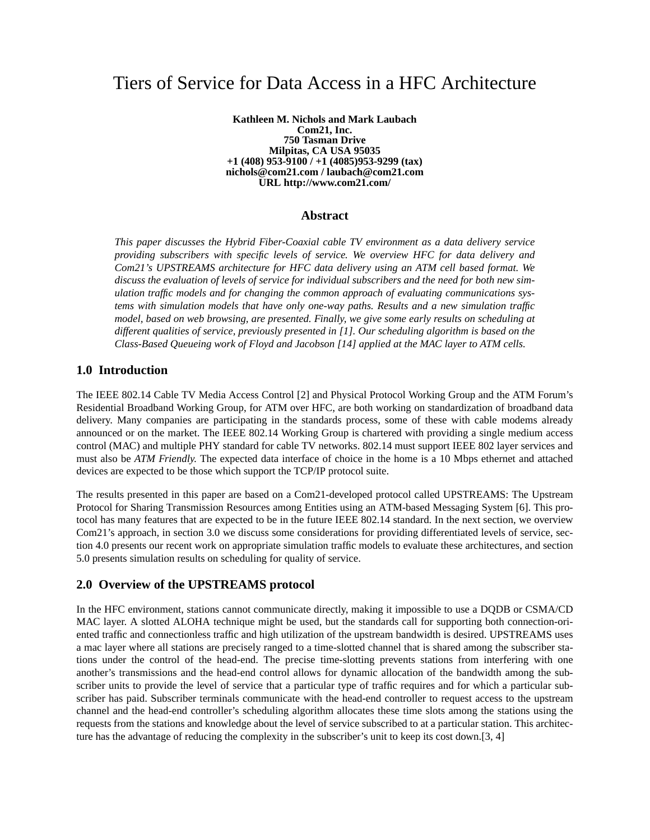# Tiers of Service for Data Access in a HFC Architecture

**Kathleen M. Nichols and Mark Laubach Com21, Inc. 750 Tasman Drive Milpitas, CA USA 95035 +1 (408) 953-9100 / +1 (4085)953-9299 (tax) nichols@com21.com / laubach@com21.com URL http://www.com21.com/**

## **Abstract**

*This paper discusses the Hybrid Fiber-Coaxial cable TV environment as a data delivery service providing subscribers with specific levels of service. We overview HFC for data delivery and Com21's UPSTREAMS architecture for HFC data delivery using an ATM cell based format. We discuss the evaluation of levels of service for individual subscribers and the need for both new simulation traffic models and for changing the common approach of evaluating communications systems with simulation models that have only one-way paths. Results and a new simulation traffic model, based on web browsing, are presented. Finally, we give some early results on scheduling at different qualities of service, previously presented in [1]. Our scheduling algorithm is based on the Class-Based Queueing work of Floyd and Jacobson [14] applied at the MAC layer to ATM cells.*

## **1.0 Introduction**

The IEEE 802.14 Cable TV Media Access Control [2] and Physical Protocol Working Group and the ATM Forum's Residential Broadband Working Group, for ATM over HFC, are both working on standardization of broadband data delivery. Many companies are participating in the standards process, some of these with cable modems already announced or on the market. The IEEE 802.14 Working Group is chartered with providing a single medium access control (MAC) and multiple PHY standard for cable TV networks. 802.14 must support IEEE 802 layer services and must also be *ATM Friendly*. The expected data interface of choice in the home is a 10 Mbps ethernet and attached devices are expected to be those which support the TCP/IP protocol suite.

The results presented in this paper are based on a Com21-developed protocol called UPSTREAMS: The Upstream Protocol for Sharing Transmission Resources among Entities using an ATM-based Messaging System [6]. This protocol has many features that are expected to be in the future IEEE 802.14 standard. In the next section, we overview Com21's approach, in section 3.0 we discuss some considerations for providing differentiated levels of service, section 4.0 presents our recent work on appropriate simulation traffic models to evaluate these architectures, and section 5.0 presents simulation results on scheduling for quality of service.

## **2.0 Overview of the UPSTREAMS protocol**

In the HFC environment, stations cannot communicate directly, making it impossible to use a DQDB or CSMA/CD MAC layer. A slotted ALOHA technique might be used, but the standards call for supporting both connection-oriented traffic and connectionless traffic and high utilization of the upstream bandwidth is desired. UPSTREAMS uses a mac layer where all stations are precisely ranged to a time-slotted channel that is shared among the subscriber stations under the control of the head-end. The precise time-slotting prevents stations from interfering with one another's transmissions and the head-end control allows for dynamic allocation of the bandwidth among the subscriber units to provide the level of service that a particular type of traffic requires and for which a particular subscriber has paid. Subscriber terminals communicate with the head-end controller to request access to the upstream channel and the head-end controller's scheduling algorithm allocates these time slots among the stations using the requests from the stations and knowledge about the level of service subscribed to at a particular station. This architecture has the advantage of reducing the complexity in the subscriber's unit to keep its cost down.[3, 4]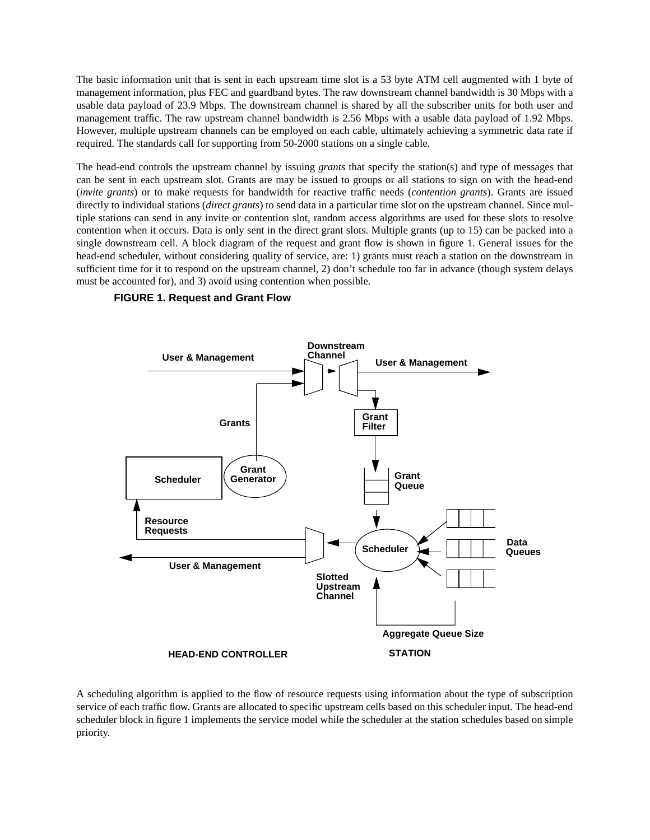The basic information unit that is sent in each upstream time slot is a 53 byte ATM cell augmented with 1 byte of management information, plus FEC and guardband bytes. The raw downstream channel bandwidth is 30 Mbps with a usable data payload of 23.9 Mbps. The downstream channel is shared by all the subscriber units for both user and management traffic. The raw upstream channel bandwidth is 2.56 Mbps with a usable data payload of 1.92 Mbps. However, multiple upstream channels can be employed on each cable, ultimately achieving a symmetric data rate if required. The standards call for supporting from 50-2000 stations on a single cable.

The head-end controls the upstream channel by issuing *grants* that specify the station(s) and type of messages that can be sent in each upstream slot. Grants are may be issued to groups or all stations to sign on with the head-end (*invite grants*) or to make requests for bandwidth for reactive traffic needs (*contention grants*). Grants are issued directly to individual stations (*direct grants*) to send data in a particular time slot on the upstream channel. Since multiple stations can send in any invite or contention slot, random access algorithms are used for these slots to resolve contention when it occurs. Data is only sent in the direct grant slots. Multiple grants (up to 15) can be packed into a single downstream cell. A block diagram of the request and grant flow is shown in figure 1. General issues for the head-end scheduler, without considering quality of service, are: 1) grants must reach a station on the downstream in sufficient time for it to respond on the upstream channel, 2) don't schedule too far in advance (though system delays must be accounted for), and 3) avoid using contention when possible.

#### **FIGURE 1. Request and Grant Flow**



A scheduling algorithm is applied to the flow of resource requests using information about the type of subscription service of each traffic flow. Grants are allocated to specific upstream cells based on this scheduler input. The head-end scheduler block in figure 1 implements the service model while the scheduler at the station schedules based on simple priority.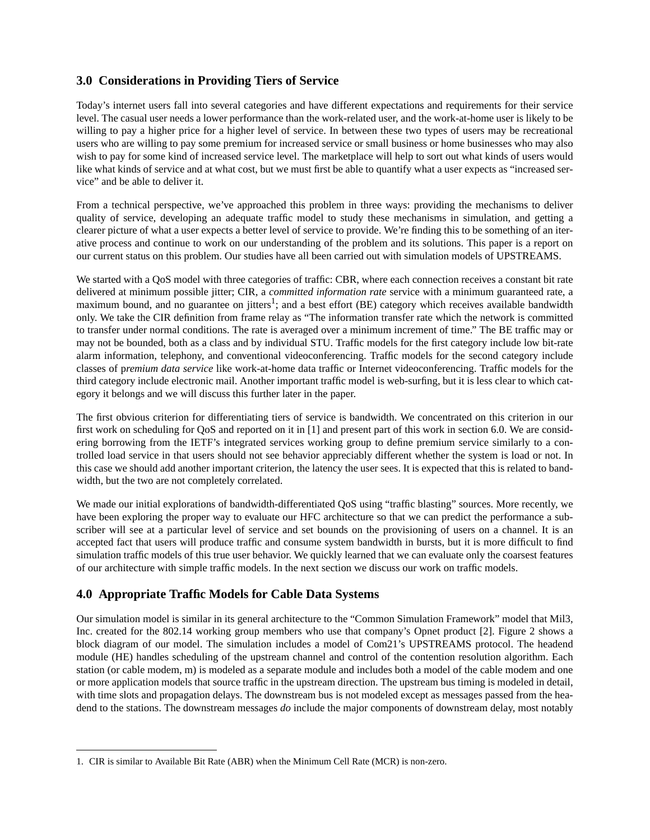# **3.0 Considerations in Providing Tiers of Service**

Today's internet users fall into several categories and have different expectations and requirements for their service level. The casual user needs a lower performance than the work-related user, and the work-at-home user is likely to be willing to pay a higher price for a higher level of service. In between these two types of users may be recreational users who are willing to pay some premium for increased service or small business or home businesses who may also wish to pay for some kind of increased service level. The marketplace will help to sort out what kinds of users would like what kinds of service and at what cost, but we must first be able to quantify what a user expects as "increased service" and be able to deliver it.

From a technical perspective, we've approached this problem in three ways: providing the mechanisms to deliver quality of service, developing an adequate traffic model to study these mechanisms in simulation, and getting a clearer picture of what a user expects a better level of service to provide. We're finding this to be something of an iterative process and continue to work on our understanding of the problem and its solutions. This paper is a report on our current status on this problem. Our studies have all been carried out with simulation models of UPSTREAMS.

We started with a QoS model with three categories of traffic: CBR, where each connection receives a constant bit rate delivered at minimum possible jitter; CIR, a *committed information rate* service with a minimum guaranteed rate, a maximum bound, and no guarantee on jitters<sup>1</sup>; and a best effort (BE) category which receives available bandwidth only. We take the CIR definition from frame relay as "The information transfer rate which the network is committed to transfer under normal conditions. The rate is averaged over a minimum increment of time." The BE traffic may or may not be bounded, both as a class and by individual STU. Traffic models for the first category include low bit-rate alarm information, telephony, and conventional videoconferencing. Traffic models for the second category include classes of p*remium data service* like work-at-home data traffic or Internet videoconferencing. Traffic models for the third category include electronic mail. Another important traffic model is web-surfing, but it is less clear to which category it belongs and we will discuss this further later in the paper.

The first obvious criterion for differentiating tiers of service is bandwidth. We concentrated on this criterion in our first work on scheduling for QoS and reported on it in [1] and present part of this work in section 6.0. We are considering borrowing from the IETF's integrated services working group to define premium service similarly to a controlled load service in that users should not see behavior appreciably different whether the system is load or not. In this case we should add another important criterion, the latency the user sees. It is expected that this is related to bandwidth, but the two are not completely correlated.

We made our initial explorations of bandwidth-differentiated QoS using "traffic blasting" sources. More recently, we have been exploring the proper way to evaluate our HFC architecture so that we can predict the performance a subscriber will see at a particular level of service and set bounds on the provisioning of users on a channel. It is an accepted fact that users will produce traffic and consume system bandwidth in bursts, but it is more difficult to find simulation traffic models of this true user behavior. We quickly learned that we can evaluate only the coarsest features of our architecture with simple traffic models. In the next section we discuss our work on traffic models.

# **4.0 Appropriate Traffic Models for Cable Data Systems**

Our simulation model is similar in its general architecture to the "Common Simulation Framework" model that Mil3, Inc. created for the 802.14 working group members who use that company's Opnet product [2]. Figure 2 shows a block diagram of our model. The simulation includes a model of Com21's UPSTREAMS protocol. The headend module (HE) handles scheduling of the upstream channel and control of the contention resolution algorithm. Each station (or cable modem, m) is modeled as a separate module and includes both a model of the cable modem and one or more application models that source traffic in the upstream direction. The upstream bus timing is modeled in detail, with time slots and propagation delays. The downstream bus is not modeled except as messages passed from the headend to the stations. The downstream messages *do* include the major components of downstream delay, most notably

<sup>1.</sup> CIR is similar to Available Bit Rate (ABR) when the Minimum Cell Rate (MCR) is non-zero.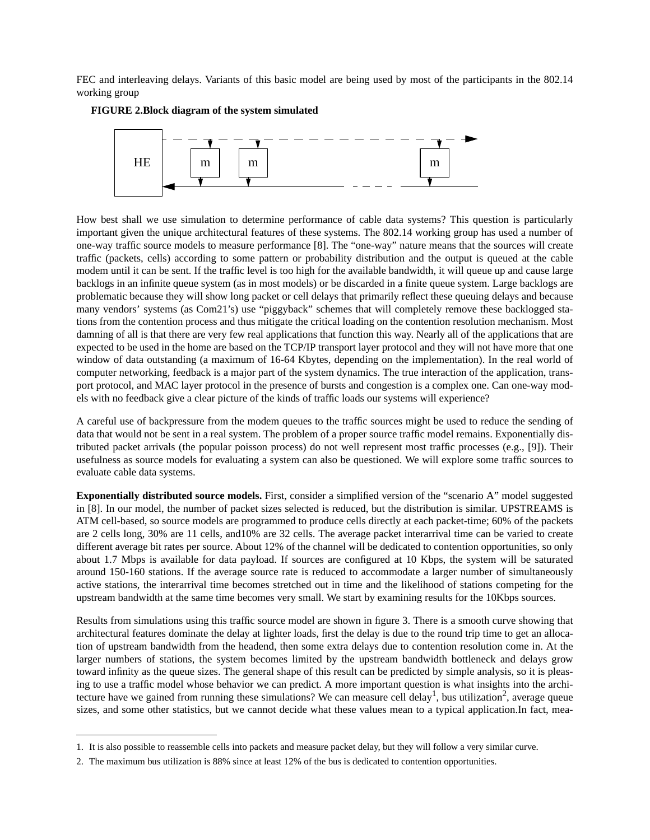FEC and interleaving delays. Variants of this basic model are being used by most of the participants in the 802.14 working group



**FIGURE 2.Block diagram of the system simulated**

How best shall we use simulation to determine performance of cable data systems? This question is particularly important given the unique architectural features of these systems. The 802.14 working group has used a number of one-way traffic source models to measure performance [8]. The "one-way" nature means that the sources will create traffic (packets, cells) according to some pattern or probability distribution and the output is queued at the cable modem until it can be sent. If the traffic level is too high for the available bandwidth, it will queue up and cause large backlogs in an infinite queue system (as in most models) or be discarded in a finite queue system. Large backlogs are problematic because they will show long packet or cell delays that primarily reflect these queuing delays and because many vendors' systems (as Com21's) use "piggyback" schemes that will completely remove these backlogged stations from the contention process and thus mitigate the critical loading on the contention resolution mechanism. Most damning of all is that there are very few real applications that function this way. Nearly all of the applications that are expected to be used in the home are based on the TCP/IP transport layer protocol and they will not have more that one window of data outstanding (a maximum of 16-64 Kbytes, depending on the implementation). In the real world of computer networking, feedback is a major part of the system dynamics. The true interaction of the application, transport protocol, and MAC layer protocol in the presence of bursts and congestion is a complex one. Can one-way models with no feedback give a clear picture of the kinds of traffic loads our systems will experience?

A careful use of backpressure from the modem queues to the traffic sources might be used to reduce the sending of data that would not be sent in a real system. The problem of a proper source traffic model remains. Exponentially distributed packet arrivals (the popular poisson process) do not well represent most traffic processes (e.g., [9]). Their usefulness as source models for evaluating a system can also be questioned. We will explore some traffic sources to evaluate cable data systems.

**Exponentially distributed source models.** First, consider a simplified version of the "scenario A" model suggested in [8]. In our model, the number of packet sizes selected is reduced, but the distribution is similar. UPSTREAMS is ATM cell-based, so source models are programmed to produce cells directly at each packet-time; 60% of the packets are 2 cells long, 30% are 11 cells, and10% are 32 cells. The average packet interarrival time can be varied to create different average bit rates per source. About 12% of the channel will be dedicated to contention opportunities, so only about 1.7 Mbps is available for data payload. If sources are configured at 10 Kbps, the system will be saturated around 150-160 stations. If the average source rate is reduced to accommodate a larger number of simultaneously active stations, the interarrival time becomes stretched out in time and the likelihood of stations competing for the upstream bandwidth at the same time becomes very small. We start by examining results for the 10Kbps sources.

Results from simulations using this traffic source model are shown in figure 3. There is a smooth curve showing that architectural features dominate the delay at lighter loads, first the delay is due to the round trip time to get an allocation of upstream bandwidth from the headend, then some extra delays due to contention resolution come in. At the larger numbers of stations, the system becomes limited by the upstream bandwidth bottleneck and delays grow toward infinity as the queue sizes. The general shape of this result can be predicted by simple analysis, so it is pleasing to use a traffic model whose behavior we can predict. A more important question is what insights into the architecture have we gained from running these simulations? We can measure cell delay<sup>1</sup>, bus utilization<sup>2</sup>, average queue sizes, and some other statistics, but we cannot decide what these values mean to a typical application.In fact, mea-

<sup>1.</sup> It is also possible to reassemble cells into packets and measure packet delay, but they will follow a very similar curve.

<sup>2.</sup> The maximum bus utilization is 88% since at least 12% of the bus is dedicated to contention opportunities.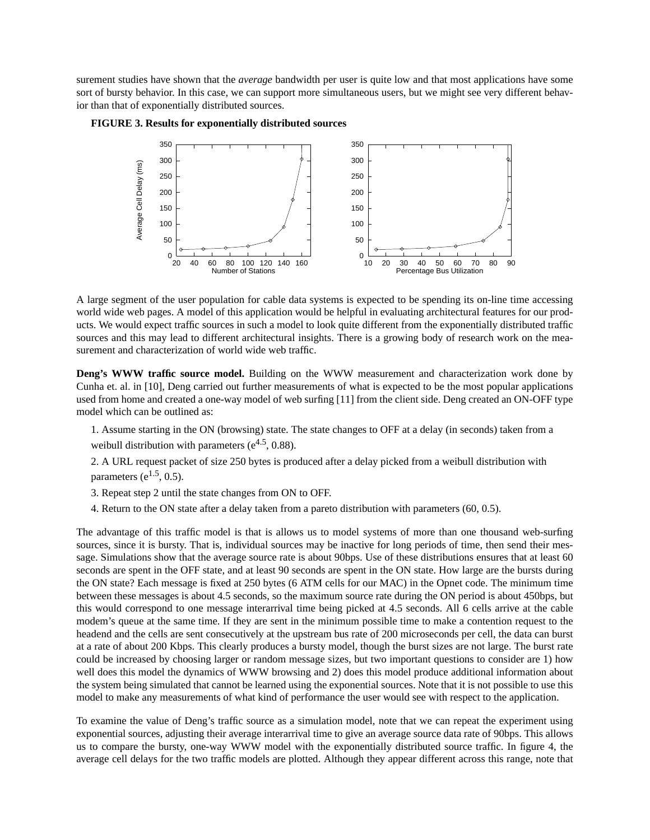surement studies have shown that the *average* bandwidth per user is quite low and that most applications have some sort of bursty behavior. In this case, we can support more simultaneous users, but we might see very different behavior than that of exponentially distributed sources.





A large segment of the user population for cable data systems is expected to be spending its on-line time accessing world wide web pages. A model of this application would be helpful in evaluating architectural features for our products. We would expect traffic sources in such a model to look quite different from the exponentially distributed traffic sources and this may lead to different architectural insights. There is a growing body of research work on the measurement and characterization of world wide web traffic.

**Deng's WWW traffic source model.** Building on the WWW measurement and characterization work done by Cunha et. al. in [10], Deng carried out further measurements of what is expected to be the most popular applications used from home and created a one-way model of web surfing [11] from the client side. Deng created an ON-OFF type model which can be outlined as:

- 1. Assume starting in the ON (browsing) state. The state changes to OFF at a delay (in seconds) taken from a weibull distribution with parameters ( $e^{4.5}$ , 0.88).
- 2. A URL request packet of size 250 bytes is produced after a delay picked from a weibull distribution with parameters ( $e^{1.5}$ , 0.5).
- 3. Repeat step 2 until the state changes from ON to OFF.
- 4. Return to the ON state after a delay taken from a pareto distribution with parameters (60, 0.5).

The advantage of this traffic model is that is allows us to model systems of more than one thousand web-surfing sources, since it is bursty. That is, individual sources may be inactive for long periods of time, then send their message. Simulations show that the average source rate is about 90bps. Use of these distributions ensures that at least 60 seconds are spent in the OFF state, and at least 90 seconds are spent in the ON state. How large are the bursts during the ON state? Each message is fixed at 250 bytes (6 ATM cells for our MAC) in the Opnet code. The minimum time between these messages is about 4.5 seconds, so the maximum source rate during the ON period is about 450bps, but this would correspond to one message interarrival time being picked at 4.5 seconds. All 6 cells arrive at the cable modem's queue at the same time. If they are sent in the minimum possible time to make a contention request to the headend and the cells are sent consecutively at the upstream bus rate of 200 microseconds per cell, the data can burst at a rate of about 200 Kbps. This clearly produces a bursty model, though the burst sizes are not large. The burst rate could be increased by choosing larger or random message sizes, but two important questions to consider are 1) how well does this model the dynamics of WWW browsing and 2) does this model produce additional information about the system being simulated that cannot be learned using the exponential sources. Note that it is not possible to use this model to make any measurements of what kind of performance the user would see with respect to the application.

To examine the value of Deng's traffic source as a simulation model, note that we can repeat the experiment using exponential sources, adjusting their average interarrival time to give an average source data rate of 90bps. This allows us to compare the bursty, one-way WWW model with the exponentially distributed source traffic. In figure 4, the average cell delays for the two traffic models are plotted. Although they appear different across this range, note that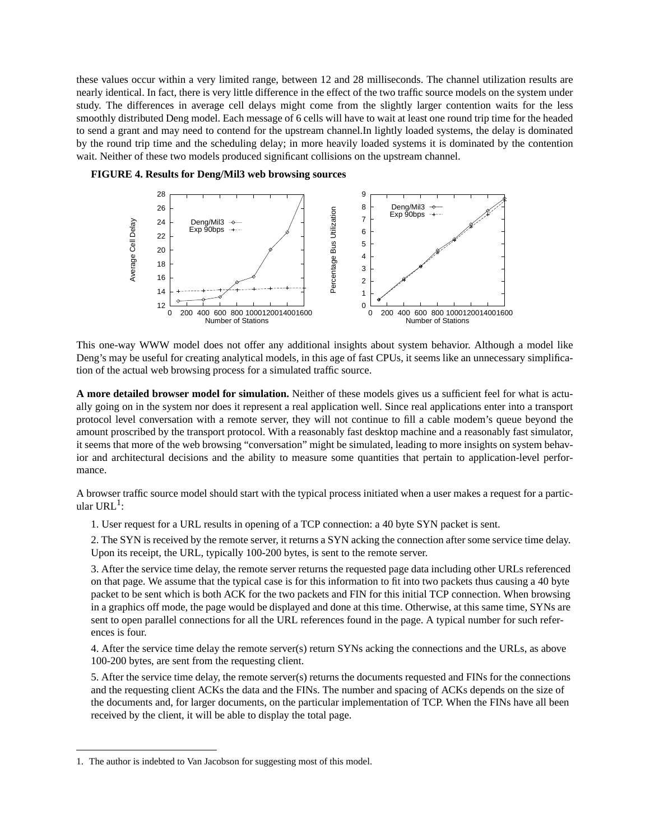these values occur within a very limited range, between 12 and 28 milliseconds. The channel utilization results are nearly identical. In fact, there is very little difference in the effect of the two traffic source models on the system under study. The differences in average cell delays might come from the slightly larger contention waits for the less smoothly distributed Deng model. Each message of 6 cells will have to wait at least one round trip time for the headed to send a grant and may need to contend for the upstream channel.In lightly loaded systems, the delay is dominated by the round trip time and the scheduling delay; in more heavily loaded systems it is dominated by the contention wait. Neither of these two models produced significant collisions on the upstream channel.





This one-way WWW model does not offer any additional insights about system behavior. Although a model like Deng's may be useful for creating analytical models, in this age of fast CPUs, it seems like an unnecessary simplification of the actual web browsing process for a simulated traffic source.

**A more detailed browser model for simulation.** Neither of these models gives us a sufficient feel for what is actually going on in the system nor does it represent a real application well. Since real applications enter into a transport protocol level conversation with a remote server, they will not continue to fill a cable modem's queue beyond the amount proscribed by the transport protocol. With a reasonably fast desktop machine and a reasonably fast simulator, it seems that more of the web browsing "conversation" might be simulated, leading to more insights on system behavior and architectural decisions and the ability to measure some quantities that pertain to application-level performance.

A browser traffic source model should start with the typical process initiated when a user makes a request for a particular  $URL<sup>1</sup>$ :

1. User request for a URL results in opening of a TCP connection: a 40 byte SYN packet is sent.

2. The SYN is received by the remote server, it returns a SYN acking the connection after some service time delay. Upon its receipt, the URL, typically 100-200 bytes, is sent to the remote server.

3. After the service time delay, the remote server returns the requested page data including other URLs referenced on that page. We assume that the typical case is for this information to fit into two packets thus causing a 40 byte packet to be sent which is both ACK for the two packets and FIN for this initial TCP connection. When browsing in a graphics off mode, the page would be displayed and done at this time. Otherwise, at this same time, SYNs are sent to open parallel connections for all the URL references found in the page. A typical number for such references is four.

4. After the service time delay the remote server(s) return SYNs acking the connections and the URLs, as above 100-200 bytes, are sent from the requesting client.

5. After the service time delay, the remote server(s) returns the documents requested and FINs for the connections and the requesting client ACKs the data and the FINs. The number and spacing of ACKs depends on the size of the documents and, for larger documents, on the particular implementation of TCP. When the FINs have all been received by the client, it will be able to display the total page.

<sup>1.</sup> The author is indebted to Van Jacobson for suggesting most of this model.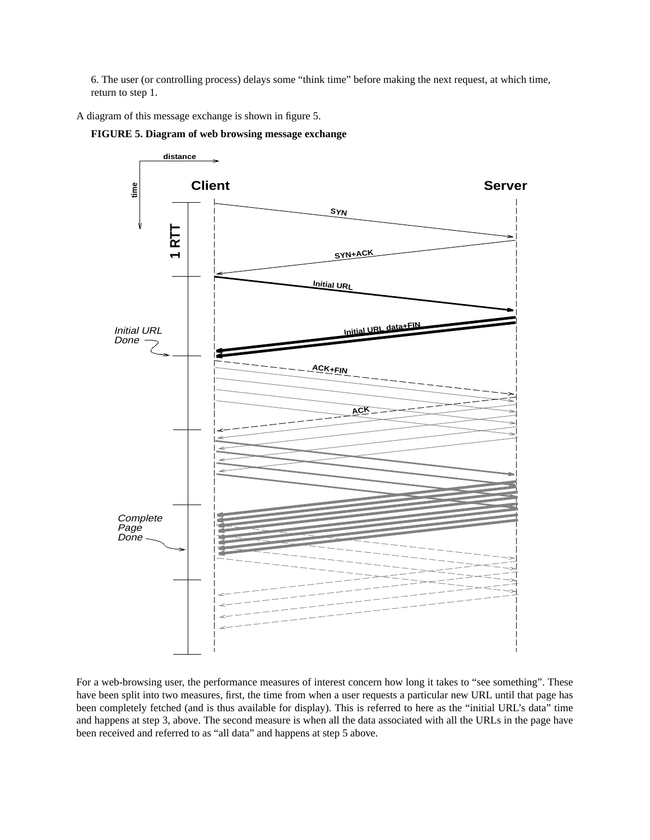6. The user (or controlling process) delays some "think time" before making the next request, at which time, return to step 1.

A diagram of this message exchange is shown in figure 5.





For a web-browsing user, the performance measures of interest concern how long it takes to "see something". These have been split into two measures, first, the time from when a user requests a particular new URL until that page has been completely fetched (and is thus available for display). This is referred to here as the "initial URL's data" time and happens at step 3, above. The second measure is when all the data associated with all the URLs in the page have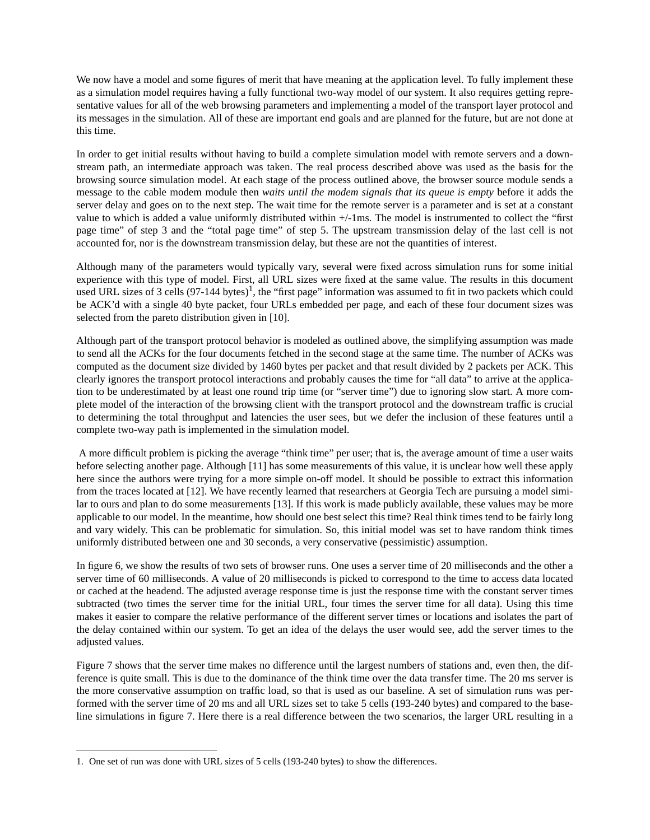We now have a model and some figures of merit that have meaning at the application level. To fully implement these as a simulation model requires having a fully functional two-way model of our system. It also requires getting representative values for all of the web browsing parameters and implementing a model of the transport layer protocol and its messages in the simulation. All of these are important end goals and are planned for the future, but are not done at this time.

In order to get initial results without having to build a complete simulation model with remote servers and a downstream path, an intermediate approach was taken. The real process described above was used as the basis for the browsing source simulation model. At each stage of the process outlined above, the browser source module sends a message to the cable modem module then *waits until the modem signals that its queue is empty* before it adds the server delay and goes on to the next step. The wait time for the remote server is a parameter and is set at a constant value to which is added a value uniformly distributed within +/-1ms. The model is instrumented to collect the "first page time" of step 3 and the "total page time" of step 5. The upstream transmission delay of the last cell is not accounted for, nor is the downstream transmission delay, but these are not the quantities of interest.

Although many of the parameters would typically vary, several were fixed across simulation runs for some initial experience with this type of model. First, all URL sizes were fixed at the same value. The results in this document used URL sizes of 3 cells  $(97-144 \text{ bytes})^1$ , the "first page" information was assumed to fit in two packets which could be ACK'd with a single 40 byte packet, four URLs embedded per page, and each of these four document sizes was selected from the pareto distribution given in [10].

Although part of the transport protocol behavior is modeled as outlined above, the simplifying assumption was made to send all the ACKs for the four documents fetched in the second stage at the same time. The number of ACKs was computed as the document size divided by 1460 bytes per packet and that result divided by 2 packets per ACK. This clearly ignores the transport protocol interactions and probably causes the time for "all data" to arrive at the application to be underestimated by at least one round trip time (or "server time") due to ignoring slow start. A more complete model of the interaction of the browsing client with the transport protocol and the downstream traffic is crucial to determining the total throughput and latencies the user sees, but we defer the inclusion of these features until a complete two-way path is implemented in the simulation model.

 A more difficult problem is picking the average "think time" per user; that is, the average amount of time a user waits before selecting another page. Although [11] has some measurements of this value, it is unclear how well these apply here since the authors were trying for a more simple on-off model. It should be possible to extract this information from the traces located at [12]. We have recently learned that researchers at Georgia Tech are pursuing a model similar to ours and plan to do some measurements [13]. If this work is made publicly available, these values may be more applicable to our model. In the meantime, how should one best select this time? Real think times tend to be fairly long and vary widely. This can be problematic for simulation. So, this initial model was set to have random think times uniformly distributed between one and 30 seconds, a very conservative (pessimistic) assumption.

In figure 6, we show the results of two sets of browser runs. One uses a server time of 20 milliseconds and the other a server time of 60 milliseconds. A value of 20 milliseconds is picked to correspond to the time to access data located or cached at the headend. The adjusted average response time is just the response time with the constant server times subtracted (two times the server time for the initial URL, four times the server time for all data). Using this time makes it easier to compare the relative performance of the different server times or locations and isolates the part of the delay contained within our system. To get an idea of the delays the user would see, add the server times to the adjusted values.

Figure 7 shows that the server time makes no difference until the largest numbers of stations and, even then, the difference is quite small. This is due to the dominance of the think time over the data transfer time. The 20 ms server is the more conservative assumption on traffic load, so that is used as our baseline. A set of simulation runs was performed with the server time of 20 ms and all URL sizes set to take 5 cells (193-240 bytes) and compared to the baseline simulations in figure 7. Here there is a real difference between the two scenarios, the larger URL resulting in a

<sup>1.</sup> One set of run was done with URL sizes of 5 cells (193-240 bytes) to show the differences.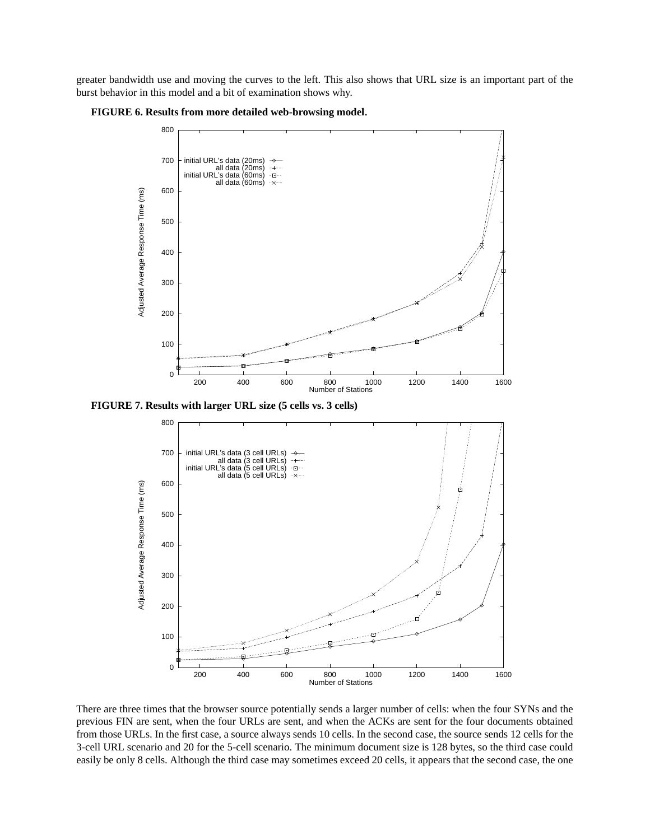greater bandwidth use and moving the curves to the left. This also shows that URL size is an important part of the burst behavior in this model and a bit of examination shows why.





**FIGURE 7. Results with larger URL size (5 cells vs. 3 cells)**



There are three times that the browser source potentially sends a larger number of cells: when the four SYNs and the previous FIN are sent, when the four URLs are sent, and when the ACKs are sent for the four documents obtained from those URLs. In the first case, a source always sends 10 cells. In the second case, the source sends 12 cells for the 3-cell URL scenario and 20 for the 5-cell scenario. The minimum document size is 128 bytes, so the third case could easily be only 8 cells. Although the third case may sometimes exceed 20 cells, it appears that the second case, the one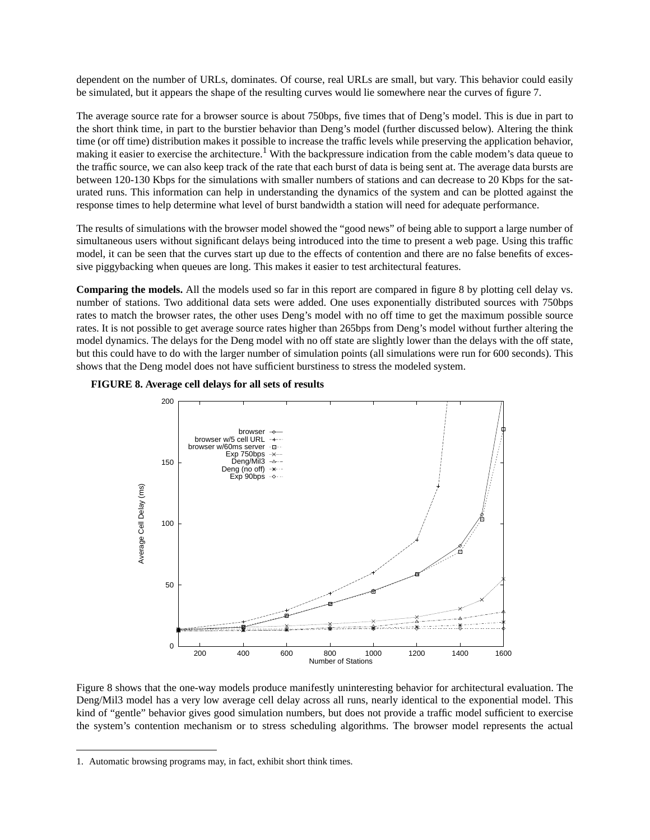dependent on the number of URLs, dominates. Of course, real URLs are small, but vary. This behavior could easily be simulated, but it appears the shape of the resulting curves would lie somewhere near the curves of figure 7.

The average source rate for a browser source is about 750bps, five times that of Deng's model. This is due in part to the short think time, in part to the burstier behavior than Deng's model (further discussed below). Altering the think time (or off time) distribution makes it possible to increase the traffic levels while preserving the application behavior, making it easier to exercise the architecture.<sup>1</sup> With the backpressure indication from the cable modem's data queue to the traffic source, we can also keep track of the rate that each burst of data is being sent at. The average data bursts are between 120-130 Kbps for the simulations with smaller numbers of stations and can decrease to 20 Kbps for the saturated runs. This information can help in understanding the dynamics of the system and can be plotted against the response times to help determine what level of burst bandwidth a station will need for adequate performance.

The results of simulations with the browser model showed the "good news" of being able to support a large number of simultaneous users without significant delays being introduced into the time to present a web page. Using this traffic model, it can be seen that the curves start up due to the effects of contention and there are no false benefits of excessive piggybacking when queues are long. This makes it easier to test architectural features.

**Comparing the models.** All the models used so far in this report are compared in figure 8 by plotting cell delay vs. number of stations. Two additional data sets were added. One uses exponentially distributed sources with 750bps rates to match the browser rates, the other uses Deng's model with no off time to get the maximum possible source rates. It is not possible to get average source rates higher than 265bps from Deng's model without further altering the model dynamics. The delays for the Deng model with no off state are slightly lower than the delays with the off state, but this could have to do with the larger number of simulation points (all simulations were run for 600 seconds). This shows that the Deng model does not have sufficient burstiness to stress the modeled system.





Figure 8 shows that the one-way models produce manifestly uninteresting behavior for architectural evaluation. The Deng/Mil3 model has a very low average cell delay across all runs, nearly identical to the exponential model. This kind of "gentle" behavior gives good simulation numbers, but does not provide a traffic model sufficient to exercise the system's contention mechanism or to stress scheduling algorithms. The browser model represents the actual

<sup>1.</sup> Automatic browsing programs may, in fact, exhibit short think times.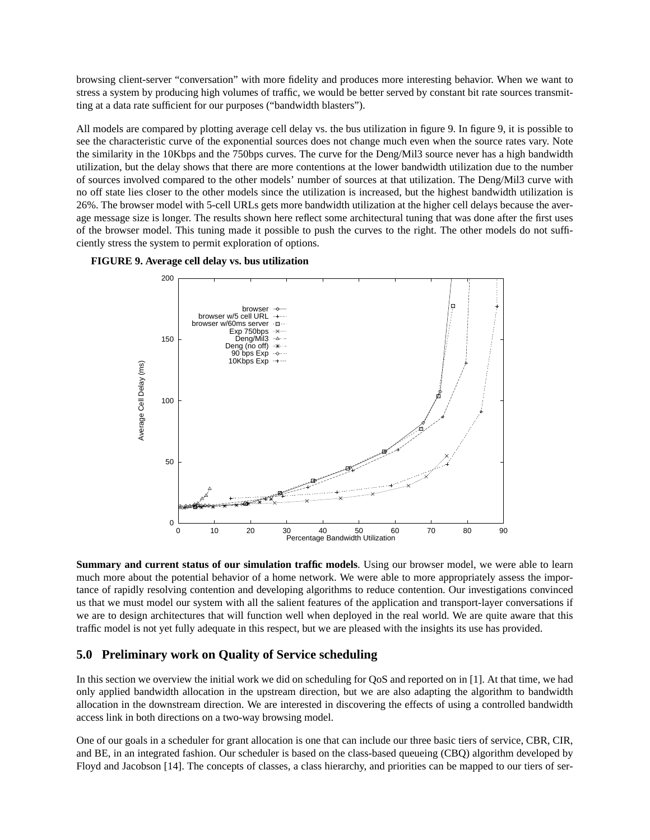browsing client-server "conversation" with more fidelity and produces more interesting behavior. When we want to stress a system by producing high volumes of traffic, we would be better served by constant bit rate sources transmitting at a data rate sufficient for our purposes ("bandwidth blasters").

All models are compared by plotting average cell delay vs. the bus utilization in figure 9. In figure 9, it is possible to see the characteristic curve of the exponential sources does not change much even when the source rates vary. Note the similarity in the 10Kbps and the 750bps curves. The curve for the Deng/Mil3 source never has a high bandwidth utilization, but the delay shows that there are more contentions at the lower bandwidth utilization due to the number of sources involved compared to the other models' number of sources at that utilization. The Deng/Mil3 curve with no off state lies closer to the other models since the utilization is increased, but the highest bandwidth utilization is 26%. The browser model with 5-cell URLs gets more bandwidth utilization at the higher cell delays because the average message size is longer. The results shown here reflect some architectural tuning that was done after the first uses of the browser model. This tuning made it possible to push the curves to the right. The other models do not sufficiently stress the system to permit exploration of options.





**Summary and current status of our simulation traffic models**. Using our browser model, we were able to learn much more about the potential behavior of a home network. We were able to more appropriately assess the importance of rapidly resolving contention and developing algorithms to reduce contention. Our investigations convinced us that we must model our system with all the salient features of the application and transport-layer conversations if we are to design architectures that will function well when deployed in the real world. We are quite aware that this traffic model is not yet fully adequate in this respect, but we are pleased with the insights its use has provided.

## **5.0 Preliminary work on Quality of Service scheduling**

In this section we overview the initial work we did on scheduling for QoS and reported on in [1]. At that time, we had only applied bandwidth allocation in the upstream direction, but we are also adapting the algorithm to bandwidth allocation in the downstream direction. We are interested in discovering the effects of using a controlled bandwidth access link in both directions on a two-way browsing model.

One of our goals in a scheduler for grant allocation is one that can include our three basic tiers of service, CBR, CIR, and BE, in an integrated fashion. Our scheduler is based on the class-based queueing (CBQ) algorithm developed by Floyd and Jacobson [14]. The concepts of classes, a class hierarchy, and priorities can be mapped to our tiers of ser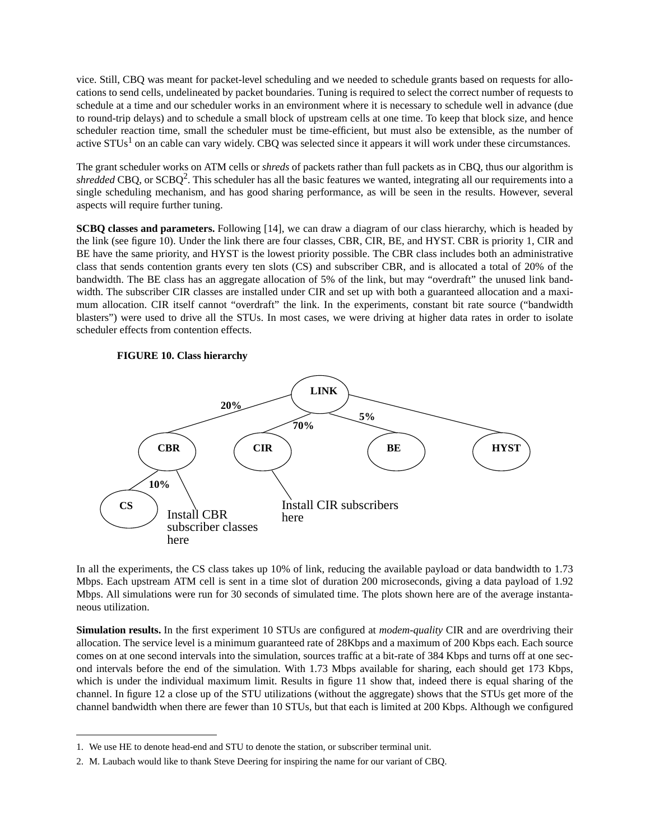vice. Still, CBQ was meant for packet-level scheduling and we needed to schedule grants based on requests for allocations to send cells, undelineated by packet boundaries. Tuning is required to select the correct number of requests to schedule at a time and our scheduler works in an environment where it is necessary to schedule well in advance (due to round-trip delays) and to schedule a small block of upstream cells at one time. To keep that block size, and hence scheduler reaction time, small the scheduler must be time-efficient, but must also be extensible, as the number of active  $STUs<sup>1</sup>$  on an cable can vary widely. CBQ was selected since it appears it will work under these circumstances.

The grant scheduler works on ATM cells or *shreds* of packets rather than full packets as in CBQ, thus our algorithm is *shredded* CBQ, or SCBQ2. This scheduler has all the basic features we wanted, integrating all our requirements into a single scheduling mechanism, and has good sharing performance, as will be seen in the results. However, several aspects will require further tuning.

**SCBQ classes and parameters.** Following [14], we can draw a diagram of our class hierarchy, which is headed by the link (see figure 10). Under the link there are four classes, CBR, CIR, BE, and HYST. CBR is priority 1, CIR and BE have the same priority, and HYST is the lowest priority possible. The CBR class includes both an administrative class that sends contention grants every ten slots (CS) and subscriber CBR, and is allocated a total of 20% of the bandwidth. The BE class has an aggregate allocation of 5% of the link, but may "overdraft" the unused link bandwidth. The subscriber CIR classes are installed under CIR and set up with both a guaranteed allocation and a maximum allocation. CIR itself cannot "overdraft" the link. In the experiments, constant bit rate source ("bandwidth blasters") were used to drive all the STUs. In most cases, we were driving at higher data rates in order to isolate scheduler effects from contention effects.





In all the experiments, the CS class takes up 10% of link, reducing the available payload or data bandwidth to 1.73 Mbps. Each upstream ATM cell is sent in a time slot of duration 200 microseconds, giving a data payload of 1.92 Mbps. All simulations were run for 30 seconds of simulated time. The plots shown here are of the average instantaneous utilization.

**Simulation results.** In the first experiment 10 STUs are configured at *modem-quality* CIR and are overdriving their allocation. The service level is a minimum guaranteed rate of 28Kbps and a maximum of 200 Kbps each. Each source comes on at one second intervals into the simulation, sources traffic at a bit-rate of 384 Kbps and turns off at one second intervals before the end of the simulation. With 1.73 Mbps available for sharing, each should get 173 Kbps, which is under the individual maximum limit. Results in figure 11 show that, indeed there is equal sharing of the channel. In figure 12 a close up of the STU utilizations (without the aggregate) shows that the STUs get more of the channel bandwidth when there are fewer than 10 STUs, but that each is limited at 200 Kbps. Although we configured

<sup>1.</sup> We use HE to denote head-end and STU to denote the station, or subscriber terminal unit.

<sup>2.</sup> M. Laubach would like to thank Steve Deering for inspiring the name for our variant of CBQ.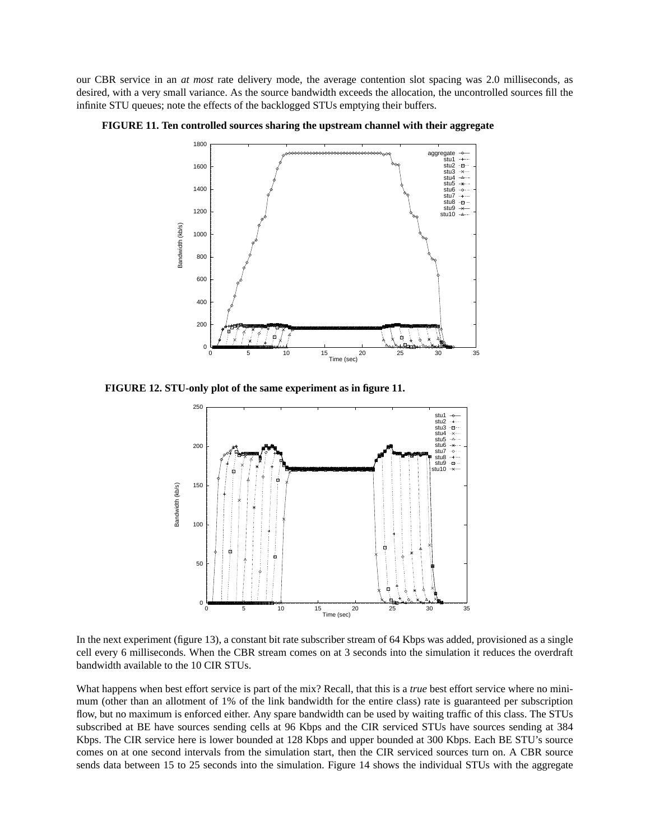our CBR service in an *at most* rate delivery mode, the average contention slot spacing was 2.0 milliseconds, as desired, with a very small variance. As the source bandwidth exceeds the allocation, the uncontrolled sources fill the infinite STU queues; note the effects of the backlogged STUs emptying their buffers.





**FIGURE 12. STU-only plot of the same experiment as in figure 11.**



In the next experiment (figure 13), a constant bit rate subscriber stream of 64 Kbps was added, provisioned as a single cell every 6 milliseconds. When the CBR stream comes on at 3 seconds into the simulation it reduces the overdraft bandwidth available to the 10 CIR STUs.

What happens when best effort service is part of the mix? Recall, that this is a *true* best effort service where no minimum (other than an allotment of 1% of the link bandwidth for the entire class) rate is guaranteed per subscription flow, but no maximum is enforced either. Any spare bandwidth can be used by waiting traffic of this class. The STUs subscribed at BE have sources sending cells at 96 Kbps and the CIR serviced STUs have sources sending at 384 Kbps. The CIR service here is lower bounded at 128 Kbps and upper bounded at 300 Kbps. Each BE STU's source comes on at one second intervals from the simulation start, then the CIR serviced sources turn on. A CBR source sends data between 15 to 25 seconds into the simulation. Figure 14 shows the individual STUs with the aggregate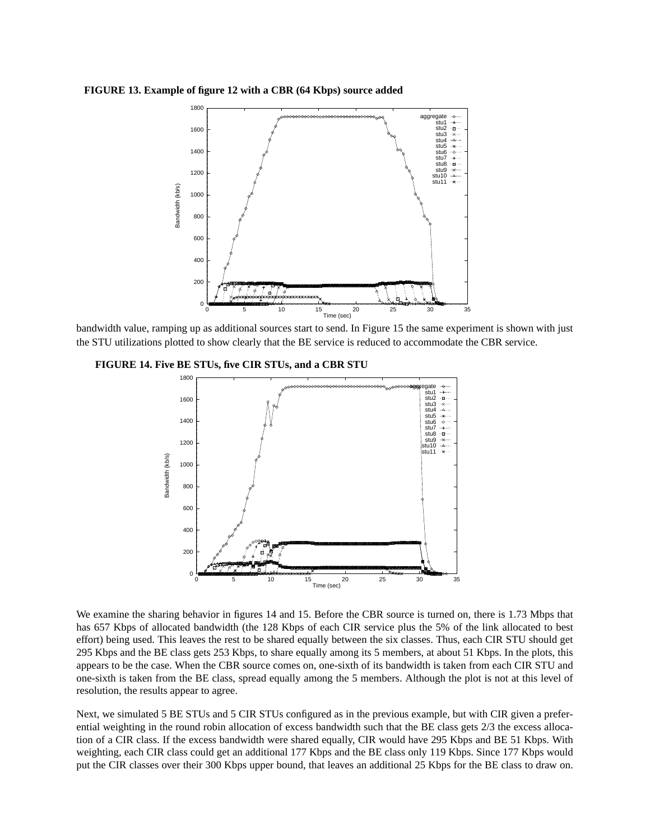**FIGURE 13. Example of figure 12 with a CBR (64 Kbps) source added**



bandwidth value, ramping up as additional sources start to send. In Figure 15 the same experiment is shown with just the STU utilizations plotted to show clearly that the BE service is reduced to accommodate the CBR service.





We examine the sharing behavior in figures 14 and 15. Before the CBR source is turned on, there is 1.73 Mbps that has 657 Kbps of allocated bandwidth (the 128 Kbps of each CIR service plus the 5% of the link allocated to best effort) being used. This leaves the rest to be shared equally between the six classes. Thus, each CIR STU should get 295 Kbps and the BE class gets 253 Kbps, to share equally among its 5 members, at about 51 Kbps. In the plots, this appears to be the case. When the CBR source comes on, one-sixth of its bandwidth is taken from each CIR STU and one-sixth is taken from the BE class, spread equally among the 5 members. Although the plot is not at this level of resolution, the results appear to agree.

Next, we simulated 5 BE STUs and 5 CIR STUs configured as in the previous example, but with CIR given a preferential weighting in the round robin allocation of excess bandwidth such that the BE class gets 2/3 the excess allocation of a CIR class. If the excess bandwidth were shared equally, CIR would have 295 Kbps and BE 51 Kbps. With weighting, each CIR class could get an additional 177 Kbps and the BE class only 119 Kbps. Since 177 Kbps would put the CIR classes over their 300 Kbps upper bound, that leaves an additional 25 Kbps for the BE class to draw on.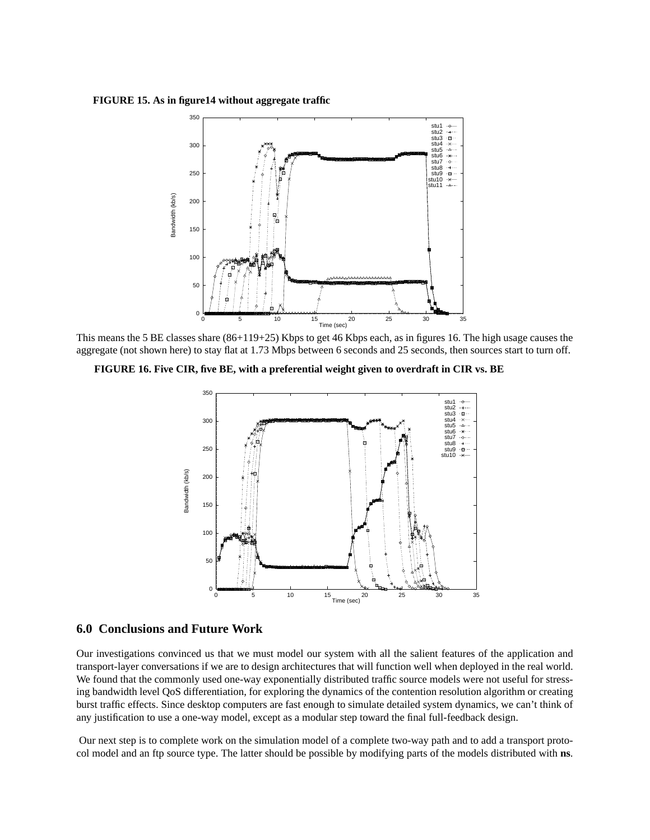**FIGURE 15. As in figure14 without aggregate traffic**



This means the 5 BE classes share (86+119+25) Kbps to get 46 Kbps each, as in figures 16. The high usage causes the aggregate (not shown here) to stay flat at 1.73 Mbps between 6 seconds and 25 seconds, then sources start to turn off.

**FIGURE 16. Five CIR, five BE, with a preferential weight given to overdraft in CIR vs. BE**



## **6.0 Conclusions and Future Work**

Our investigations convinced us that we must model our system with all the salient features of the application and transport-layer conversations if we are to design architectures that will function well when deployed in the real world. We found that the commonly used one-way exponentially distributed traffic source models were not useful for stressing bandwidth level QoS differentiation, for exploring the dynamics of the contention resolution algorithm or creating burst traffic effects. Since desktop computers are fast enough to simulate detailed system dynamics, we can't think of any justification to use a one-way model, except as a modular step toward the final full-feedback design.

 Our next step is to complete work on the simulation model of a complete two-way path and to add a transport protocol model and an ftp source type. The latter should be possible by modifying parts of the models distributed with **ns**.